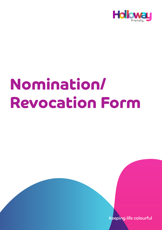

# **Nomination/ Revocation Form**

Keeping life colourful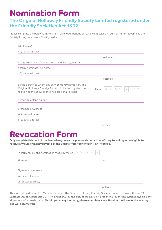## **Nomination Form**

#### **The Original Holloway Friendly Society Limited registered under the Friendly Societies Act 1992**

Please complete the below form to inform us of your beneficiary who will receive any sum of money payable by the Society from your chosen Plan if you die.

| I (full name)                                                                                                                                                             |                                |
|---------------------------------------------------------------------------------------------------------------------------------------------------------------------------|--------------------------------|
| of (postal address)                                                                                                                                                       |                                |
|                                                                                                                                                                           | Postcode                       |
| being a member of the above-named Society, Plan No.                                                                                                                       |                                |
| hereby nominate (full name)                                                                                                                                               |                                |
| of (postal address)                                                                                                                                                       |                                |
|                                                                                                                                                                           | Postcode                       |
| as the person to whom any sum of money payable by The<br>Original Holloway Friendly Society Limited on my death in<br>relation to the above mentioned plan shall be paid. | Y<br>$\vee$<br>M<br>M<br>Dated |
| Signature of Plan holder                                                                                                                                                  |                                |
| Signature of witness<br>Witness full name                                                                                                                                 |                                |
| of (postal address)                                                                                                                                                       |                                |
|                                                                                                                                                                           | Postcode                       |

## **Revocation Form**

**Only complete this part of the form when you want a previously named beneficiary to no longer be eligible to receive any sum of money payable by the Society from your chosen Plan if you die.**

| Y Y Y Y<br> M M <br>$\Box$<br>$\Box$<br>I hereby revoke the nomination made by me on |          |  |
|--------------------------------------------------------------------------------------|----------|--|
| Signature                                                                            | Date     |  |
| Signature of witness                                                                 |          |  |
| Witness full name                                                                    |          |  |
| of (postal address)                                                                  |          |  |
|                                                                                      | Postcode |  |

This form should be sent to Member Services, The Original Holloway Friendly Society Limited, Holloway House, 71 Eastgate Street, Gloucester GL1 1PW and it shall be the duty of the Society to register all such Nominations and also any alterations afterwards made. **Should you marry/re-marry, please complete a new Nomination Form as the existing one will become void.**